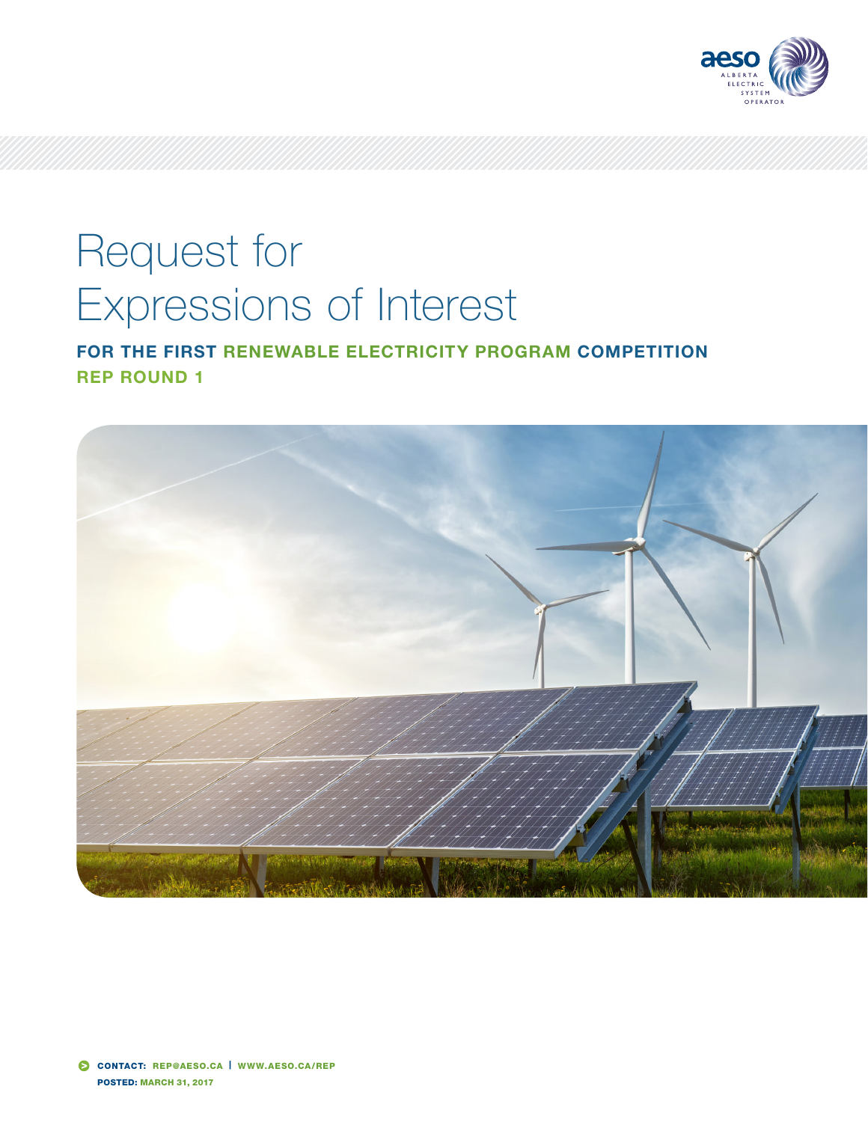

# Request for Expressions of Interest

FOR THE FIRST RENEWABLE ELECTRICITY PROGRAM COMPETITION REP ROUND 1

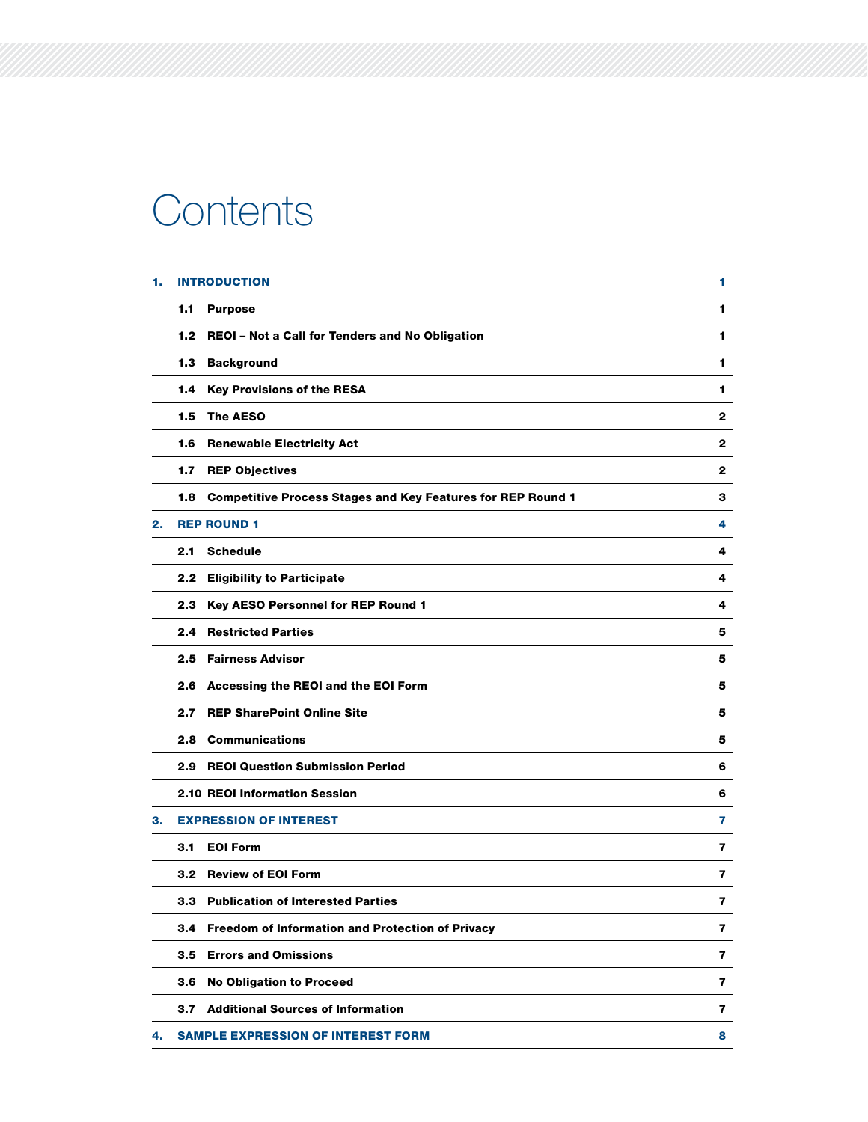# **Contents**

| 1. |     | <b>INTRODUCTION</b>                                                | 1            |
|----|-----|--------------------------------------------------------------------|--------------|
|    | 1.1 | <b>Purpose</b>                                                     | 1            |
|    |     | 1.2 REOI - Not a Call for Tenders and No Obligation                | 1            |
|    |     | 1.3 Background                                                     | 1            |
|    |     | 1.4 Key Provisions of the RESA                                     | 1.           |
|    | 1.5 | <b>The AESO</b>                                                    | $\mathbf{2}$ |
|    |     | 1.6 Renewable Electricity Act                                      | 2            |
|    | 1.7 | <b>REP Objectives</b>                                              | 2            |
|    | 1.8 | <b>Competitive Process Stages and Key Features for REP Round 1</b> | з            |
| 2. |     | <b>REP ROUND 1</b>                                                 | 4            |
|    | 2.1 | <b>Schedule</b>                                                    | 4            |
|    |     | 2.2 Eligibility to Participate                                     | 4            |
|    | 2.3 | <b>Key AESO Personnel for REP Round 1</b>                          | 4            |
|    | 2.4 | <b>Restricted Parties</b>                                          | 5            |
|    |     | 2.5 Fairness Advisor                                               | 5            |
|    |     | 2.6 Accessing the REOI and the EOI Form                            | 5            |
|    | 2.7 | <b>REP SharePoint Online Site</b>                                  | 5            |
|    |     | 2.8 Communications                                                 | 5            |
|    | 2.9 | <b>REOI Question Submission Period</b>                             | 6            |
|    |     | <b>2.10 REOI Information Session</b>                               | 6            |
| з. |     | <b>EXPRESSION OF INTEREST</b>                                      | 7            |
|    |     | 3.1 EOI Form                                                       | 7            |
|    |     | 3.2 Review of EOI Form                                             | 7            |
|    |     | 3.3 Publication of Interested Parties                              | 7            |
|    | 3.4 | <b>Freedom of Information and Protection of Privacy</b>            | 7            |
|    |     | 3.5 Errors and Omissions                                           | 7            |
|    |     | 3.6 No Obligation to Proceed                                       | 7            |
|    | 3.7 | <b>Additional Sources of Information</b>                           | 7            |
| 4. |     | <b>SAMPLE EXPRESSION OF INTEREST FORM</b>                          | 8            |
|    |     |                                                                    |              |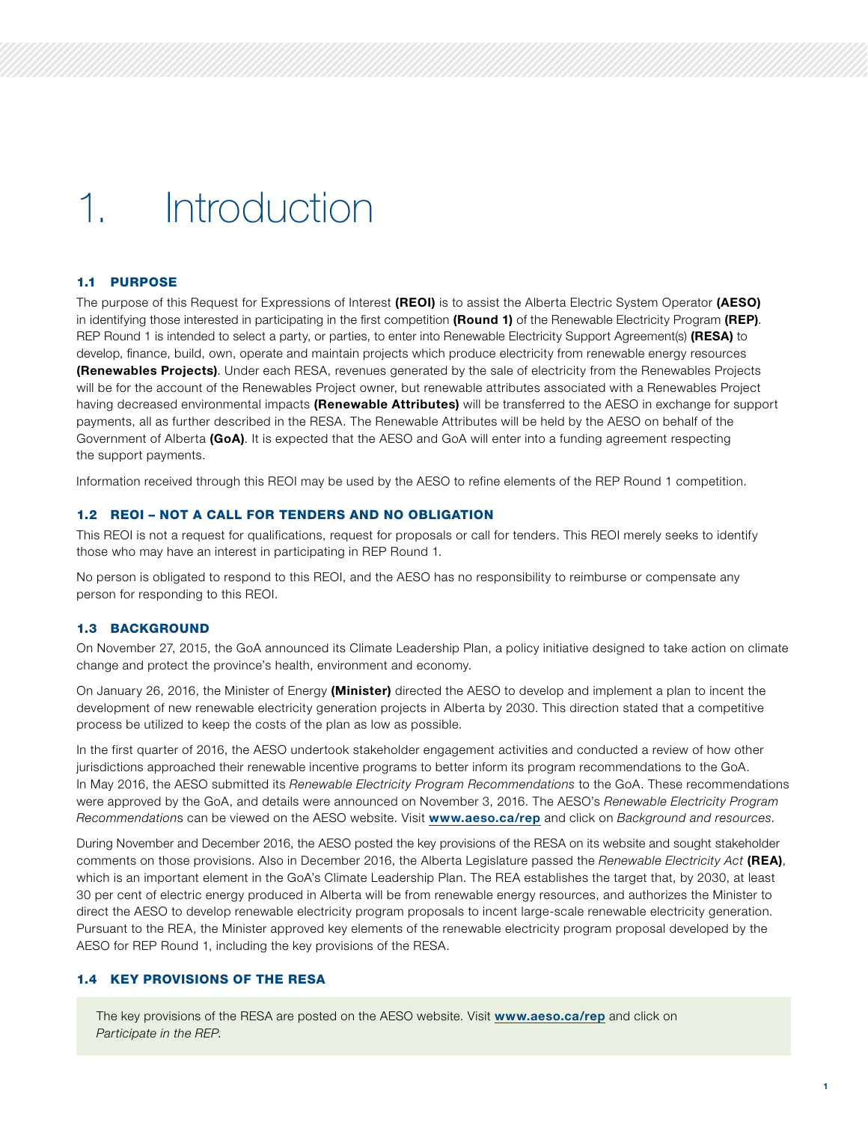# 1. Introduction

### 1.1 PURPOSE

The purpose of this Request for Expressions of Interest (REOI) is to assist the Alberta Electric System Operator (AESO) in identifying those interested in participating in the first competition (Round 1) of the Renewable Electricity Program (REP). REP Round 1 is intended to select a party, or parties, to enter into Renewable Electricity Support Agreement(s) (RESA) to develop, finance, build, own, operate and maintain projects which produce electricity from renewable energy resources **(Renewables Projects)**. Under each RESA, revenues generated by the sale of electricity from the Renewables Projects will be for the account of the Renewables Project owner, but renewable attributes associated with a Renewables Project having decreased environmental impacts (Renewable Attributes) will be transferred to the AESO in exchange for support payments, all as further described in the RESA. The Renewable Attributes will be held by the AESO on behalf of the Government of Alberta (GoA). It is expected that the AESO and GoA will enter into a funding agreement respecting the support payments.

Information received through this REOI may be used by the AESO to refine elements of the REP Round 1 competition.

#### 1.2 REOI – NOT A CALL FOR TENDERS AND NO OBLIGATION

This REOI is not a request for qualifications, request for proposals or call for tenders. This REOI merely seeks to identify those who may have an interest in participating in REP Round 1.

No person is obligated to respond to this REOI, and the AESO has no responsibility to reimburse or compensate any person for responding to this REOI.

#### 1.3 BACKGROUND

On November 27, 2015, the GoA announced its Climate Leadership Plan, a policy initiative designed to take action on climate change and protect the province's health, environment and economy.

On January 26, 2016, the Minister of Energy (Minister) directed the AESO to develop and implement a plan to incent the development of new renewable electricity generation projects in Alberta by 2030. This direction stated that a competitive process be utilized to keep the costs of the plan as low as possible.

In the first quarter of 2016, the AESO undertook stakeholder engagement activities and conducted a review of how other jurisdictions approached their renewable incentive programs to better inform its program recommendations to the GoA. In May 2016, the AESO submitted its *Renewable Electricity Program Recommendations* to the GoA. These recommendations were approved by the GoA, and details were announced on November 3, 2016. The AESO's *Renewable Electricity Program Recommendation*s can be viewed on the AESO website. Visit [www.aeso.ca/rep](http://www.aeso.ca/rep) and click on *Background and resources*.

During November and December 2016, the AESO posted the key provisions of the RESA on its website and sought stakeholder comments on those provisions. Also in December 2016, the Alberta Legislature passed the *Renewable Electricity Act* (REA), which is an important element in the GoA's Climate Leadership Plan. The REA establishes the target that, by 2030, at least 30 per cent of electric energy produced in Alberta will be from renewable energy resources, and authorizes the Minister to direct the AESO to develop renewable electricity program proposals to incent large-scale renewable electricity generation. Pursuant to the REA, the Minister approved key elements of the renewable electricity program proposal developed by the AESO for REP Round 1, including the key provisions of the RESA.

#### 1.4 KEY PROVISIONS OF THE RESA

The key provisions of the RESA are posted on the AESO website. Visit [www.aeso.ca/rep](http://www.aeso.ca/rep) and click on *Participate in the REP*.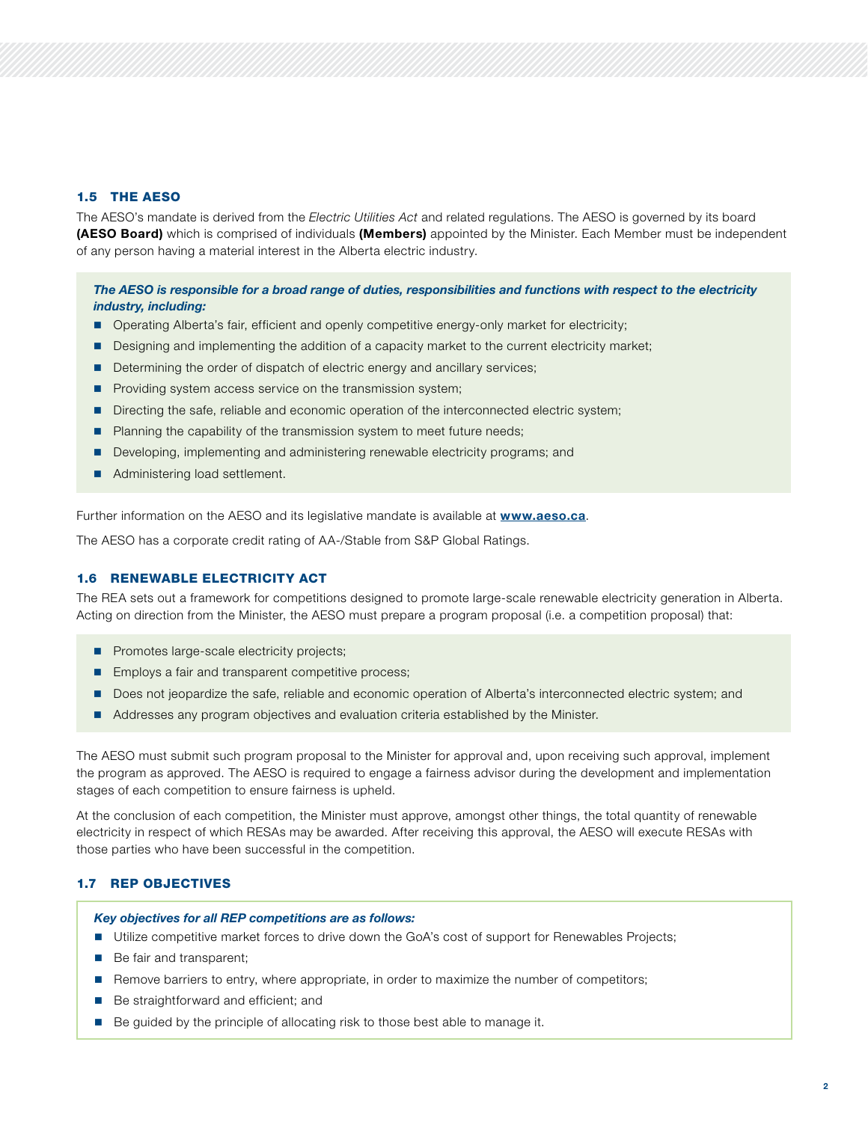#### 1.5 THE AESO

The AESO's mandate is derived from the *Electric Utilities Act* and related regulations. The AESO is governed by its board (AESO Board) which is comprised of individuals (Members) appointed by the Minister. Each Member must be independent of any person having a material interest in the Alberta electric industry.

# *The AESO is responsible for a broad range of duties, responsibilities and functions with respect to the electricity industry, including:*

- **Operating Alberta's fair, efficient and openly competitive energy-only market for electricity;**
- Designing and implementing the addition of a capacity market to the current electricity market;
- Determining the order of dispatch of electric energy and ancillary services;
- **Providing system access service on the transmission system;**
- Directing the safe, reliable and economic operation of the interconnected electric system;
- **Planning the capability of the transmission system to meet future needs;**
- Developing, implementing and administering renewable electricity programs; and
- Administering load settlement.

Further information on the AESO and its legislative mandate is available at **[www.aeso.ca](http://www.aeso.ca)**.

The AESO has a corporate credit rating of AA-/Stable from S&P Global Ratings.

### 1.6 RENEWABLE ELECTRICITY ACT

The REA sets out a framework for competitions designed to promote large-scale renewable electricity generation in Alberta. Acting on direction from the Minister, the AESO must prepare a program proposal (i.e. a competition proposal) that:

- **Promotes large-scale electricity projects;**
- **Employs a fair and transparent competitive process;**
- Does not jeopardize the safe, reliable and economic operation of Alberta's interconnected electric system; and
- Addresses any program objectives and evaluation criteria established by the Minister.

The AESO must submit such program proposal to the Minister for approval and, upon receiving such approval, implement the program as approved. The AESO is required to engage a fairness advisor during the development and implementation stages of each competition to ensure fairness is upheld.

At the conclusion of each competition, the Minister must approve, amongst other things, the total quantity of renewable electricity in respect of which RESAs may be awarded. After receiving this approval, the AESO will execute RESAs with those parties who have been successful in the competition.

# 1.7 REP OBJECTIVES

#### *Key objectives for all REP competitions are as follows:*

- Utilize competitive market forces to drive down the GoA's cost of support for Renewables Projects;
- Be fair and transparent;
- Remove barriers to entry, where appropriate, in order to maximize the number of competitors;
- Be straightforward and efficient; and
- Be guided by the principle of allocating risk to those best able to manage it.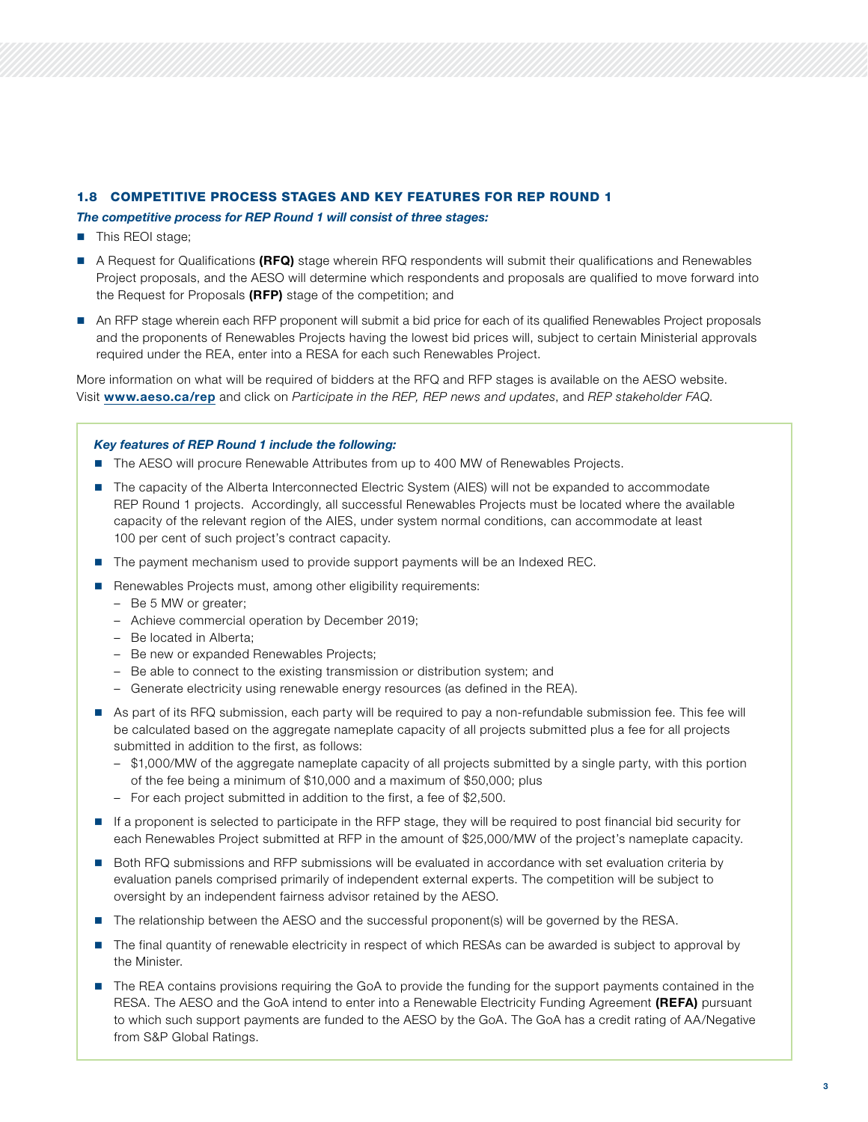# 1.8 COMPETITIVE PROCESS STAGES AND KEY FEATURES FOR REP ROUND 1

#### *The competitive process for REP Round 1 will consist of three stages:*

- **This REOI stage;**
- A Request for Qualifications (RFQ) stage wherein RFQ respondents will submit their qualifications and Renewables Project proposals, and the AESO will determine which respondents and proposals are qualified to move forward into the Request for Proposals (RFP) stage of the competition; and
- An RFP stage wherein each RFP proponent will submit a bid price for each of its qualified Renewables Project proposals and the proponents of Renewables Projects having the lowest bid prices will, subject to certain Ministerial approvals required under the REA, enter into a RESA for each such Renewables Project.

More information on what will be required of bidders at the RFQ and RFP stages is available on the AESO website. Visit [www.aeso.ca/rep](http://www.aeso.ca/rep) and click on *Participate in the REP, REP news and updates*, and *REP stakeholder FAQ*.

#### *Key features of REP Round 1 include the following:*

- The AESO will procure Renewable Attributes from up to 400 MW of Renewables Projects.
- The capacity of the Alberta Interconnected Electric System (AIES) will not be expanded to accommodate REP Round 1 projects. Accordingly, all successful Renewables Projects must be located where the available capacity of the relevant region of the AIES, under system normal conditions, can accommodate at least 100 per cent of such project's contract capacity.
- The payment mechanism used to provide support payments will be an Indexed REC.
- Renewables Projects must, among other eligibility requirements:
	- Be 5 MW or greater;
	- Achieve commercial operation by December 2019;
	- Be located in Alberta;
	- Be new or expanded Renewables Projects;
	- Be able to connect to the existing transmission or distribution system; and
	- Generate electricity using renewable energy resources (as defined in the REA).
- As part of its RFQ submission, each party will be required to pay a non-refundable submission fee. This fee will be calculated based on the aggregate nameplate capacity of all projects submitted plus a fee for all projects submitted in addition to the first, as follows:
	- \$1,000/MW of the aggregate nameplate capacity of all projects submitted by a single party, with this portion of the fee being a minimum of \$10,000 and a maximum of \$50,000; plus
	- For each project submitted in addition to the first, a fee of \$2,500.
- If a proponent is selected to participate in the RFP stage, they will be required to post financial bid security for each Renewables Project submitted at RFP in the amount of \$25,000/MW of the project's nameplate capacity.
- Both RFQ submissions and RFP submissions will be evaluated in accordance with set evaluation criteria by evaluation panels comprised primarily of independent external experts. The competition will be subject to oversight by an independent fairness advisor retained by the AESO.
- The relationship between the AESO and the successful proponent(s) will be governed by the RESA.
- The final quantity of renewable electricity in respect of which RESAs can be awarded is subject to approval by the Minister.
- The REA contains provisions requiring the GoA to provide the funding for the support payments contained in the RESA. The AESO and the GoA intend to enter into a Renewable Electricity Funding Agreement (REFA) pursuant to which such support payments are funded to the AESO by the GoA. The GoA has a credit rating of AA/Negative from S&P Global Ratings.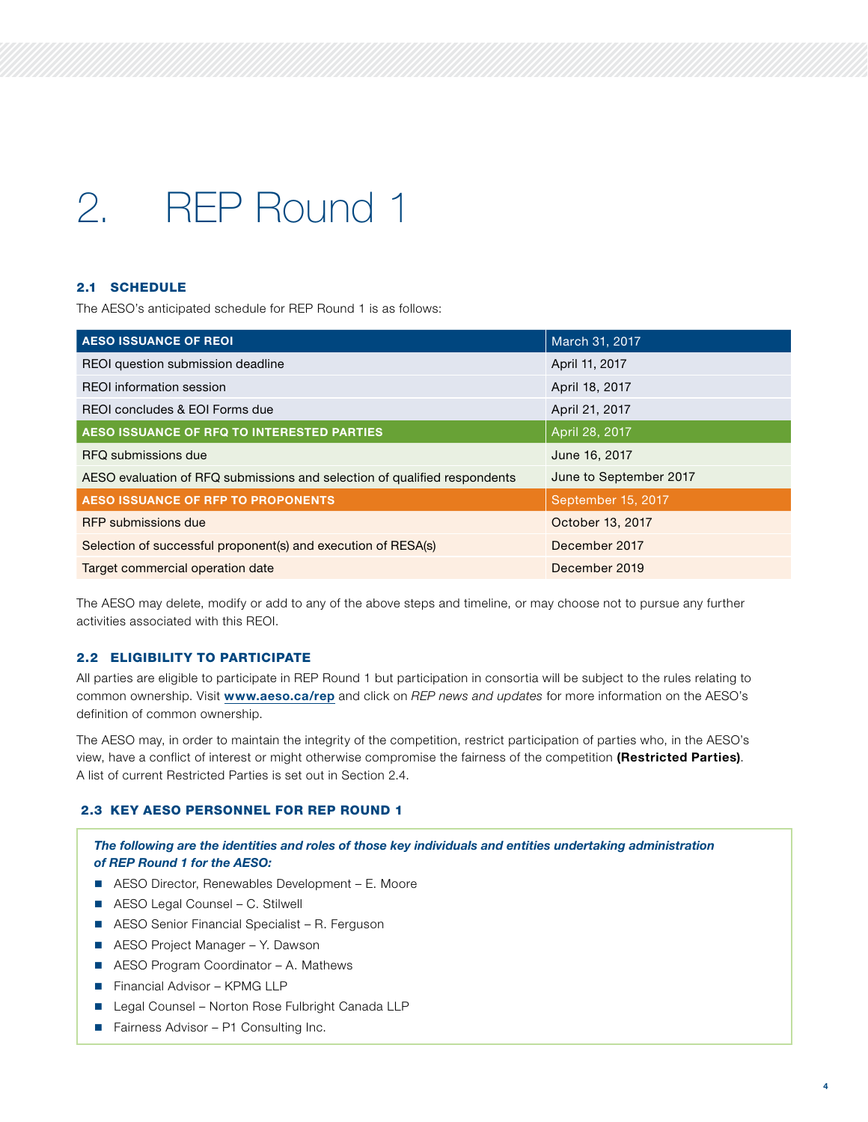# 2. REP Round 1

# 2.1 SCHEDULE

The AESO's anticipated schedule for REP Round 1 is as follows:

| <b>AESO ISSUANCE OF REOI</b>                                              | March 31, 2017         |  |
|---------------------------------------------------------------------------|------------------------|--|
| REOI question submission deadline                                         | April 11, 2017         |  |
| <b>REOI</b> information session                                           | April 18, 2017         |  |
| REOI concludes & EOI Forms due                                            | April 21, 2017         |  |
| AESO ISSUANCE OF RFQ TO INTERESTED PARTIES                                | April 28, 2017         |  |
| RFQ submissions due                                                       | June 16, 2017          |  |
| AESO evaluation of RFQ submissions and selection of qualified respondents | June to September 2017 |  |
| <b>AESO ISSUANCE OF RFP TO PROPONENTS</b>                                 | September 15, 2017     |  |
| RFP submissions due                                                       | October 13, 2017       |  |
| Selection of successful proponent(s) and execution of RESA(s)             | December 2017          |  |
| Target commercial operation date                                          | December 2019          |  |

The AESO may delete, modify or add to any of the above steps and timeline, or may choose not to pursue any further activities associated with this REOI.

# 2.2 ELIGIBILITY TO PARTICIPATE

All parties are eligible to participate in REP Round 1 but participation in consortia will be subject to the rules relating to common ownership. Visit [www.aeso.ca/rep](http://www.aeso.ca/rep) and click on *REP news and updates* for more information on the AESO's definition of common ownership.

The AESO may, in order to maintain the integrity of the competition, restrict participation of parties who, in the AESO's view, have a conflict of interest or might otherwise compromise the fairness of the competition (Restricted Parties). A list of current Restricted Parties is set out in Section 2.4.

# 2.3 KEY AESO PERSONNEL FOR REP ROUND 1

*The following are the identities and roles of those key individuals and entities undertaking administration of REP Round 1 for the AESO:*

- AESO Director, Renewables Development E. Moore
- AESO Legal Counsel C. Stilwell
- AESO Senior Financial Specialist R. Ferguson
- AESO Project Manager Y. Dawson
- AESO Program Coordinator A. Mathews
- Financial Advisor KPMG LLP
- Legal Counsel Norton Rose Fulbright Canada LLP
- Fairness Advisor P1 Consulting Inc.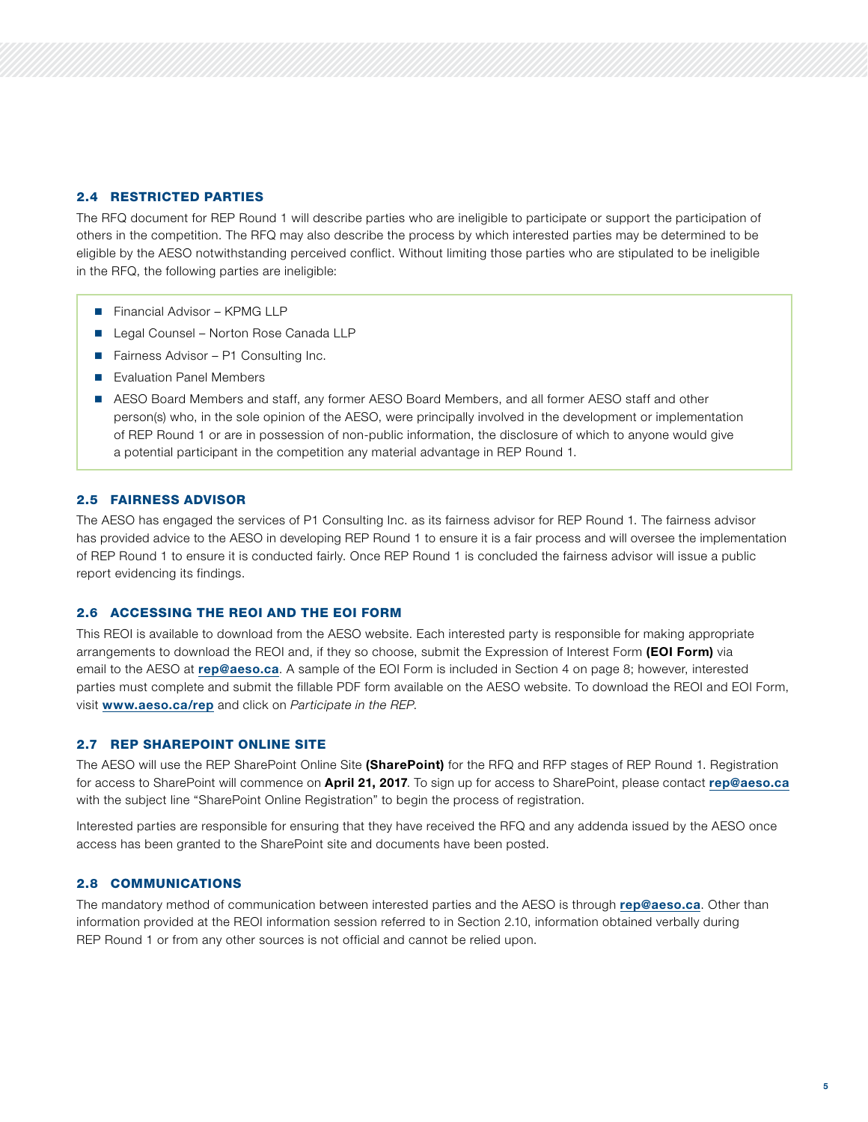# 2.4 RESTRICTED PARTIES

The RFQ document for REP Round 1 will describe parties who are ineligible to participate or support the participation of others in the competition. The RFQ may also describe the process by which interested parties may be determined to be eligible by the AESO notwithstanding perceived conflict. Without limiting those parties who are stipulated to be ineligible in the RFQ, the following parties are ineligible:

- Financial Advisor KPMG LLP
- Legal Counsel Norton Rose Canada LLP
- Fairness Advisor P1 Consulting Inc.
- Evaluation Panel Members
- AESO Board Members and staff, any former AESO Board Members, and all former AESO staff and other person(s) who, in the sole opinion of the AESO, were principally involved in the development or implementation of REP Round 1 or are in possession of non-public information, the disclosure of which to anyone would give a potential participant in the competition any material advantage in REP Round 1.

### 2.5 FAIRNESS ADVISOR

The AESO has engaged the services of P1 Consulting Inc. as its fairness advisor for REP Round 1. The fairness advisor has provided advice to the AESO in developing REP Round 1 to ensure it is a fair process and will oversee the implementation of REP Round 1 to ensure it is conducted fairly. Once REP Round 1 is concluded the fairness advisor will issue a public report evidencing its findings.

#### 2.6 ACCESSING THE REOI AND THE EOI FORM

This REOI is available to download from the AESO website. Each interested party is responsible for making appropriate arrangements to download the REOI and, if they so choose, submit the Expression of Interest Form (EOI Form) via email to the AESO at [rep@aeso.ca](mailto:rep%40aeso.ca?subject=). A sample of the EOI Form is included in Section 4 on page 8; however, interested parties must complete and submit the fillable PDF form available on the AESO website. To download the REOI and EOI Form, visit [www.aeso.ca/rep](http://www.aeso.ca/rep) and click on *Participate in the REP*.

#### 2.7 REP SHAREPOINT ONLINE SITE

The AESO will use the REP SharePoint Online Site (SharePoint) for the RFQ and RFP stages of REP Round 1. Registration for access to SharePoint will commence on April 21, 2017. To sign up for access to SharePoint, please contact [rep@aeso.ca](mailto:rep%40aeso.ca%20?subject=) with the subject line "SharePoint Online Registration" to begin the process of registration.

Interested parties are responsible for ensuring that they have received the RFQ and any addenda issued by the AESO once access has been granted to the SharePoint site and documents have been posted.

# 2.8 COMMUNICATIONS

The mandatory method of communication between interested parties and the AESO is through [rep@aeso.ca](mailto:rep%40aeso.ca?subject=). Other than information provided at the REOI information session referred to in Section 2.10, information obtained verbally during REP Round 1 or from any other sources is not official and cannot be relied upon.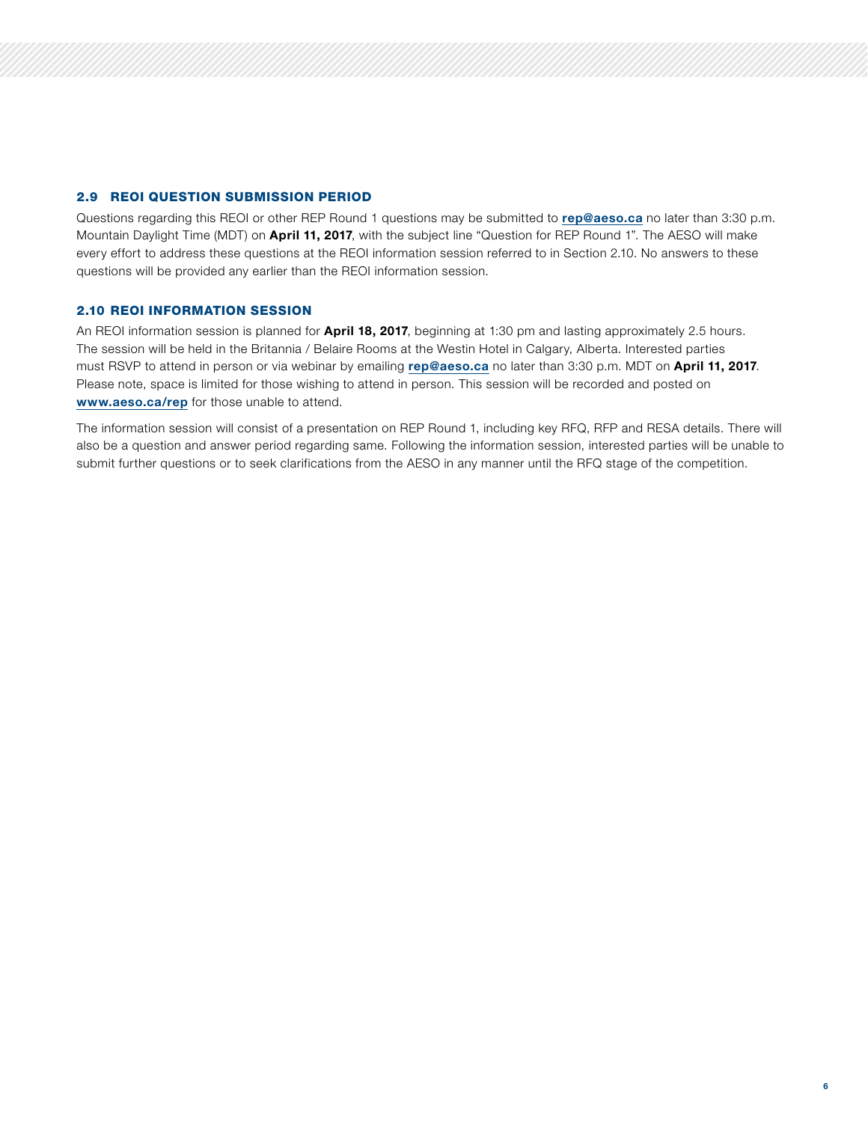#### 2.9 REOI QUESTION SUBMISSION PERIOD

Questions regarding this REOI or other REP Round 1 questions may be submitted to [rep@aeso.ca](mailto:rep%40aeso.ca?subject=) no later than 3:30 p.m. Mountain Daylight Time (MDT) on April 11, 2017, with the subject line "Question for REP Round 1". The AESO will make every effort to address these questions at the REOI information session referred to in Section 2.10. No answers to these questions will be provided any earlier than the REOI information session.

# 2.10 REOI INFORMATION SESSION

An REOI information session is planned for April 18, 2017, beginning at 1:30 pm and lasting approximately 2.5 hours. The session will be held in the Britannia / Belaire Rooms at the Westin Hotel in Calgary, Alberta. Interested parties must RSVP to attend in person or via webinar by emailing [rep@aeso.ca](mailto:rep%40aeso.ca?subject=) no later than 3:30 p.m. MDT on April 11, 2017. Please note, space is limited for those wishing to attend in person. This session will be recorded and posted on [www.aeso.ca/rep](http://www.aeso.ca/rep) for those unable to attend.

The information session will consist of a presentation on REP Round 1, including key RFQ, RFP and RESA details. There will also be a question and answer period regarding same. Following the information session, interested parties will be unable to submit further questions or to seek clarifications from the AESO in any manner until the RFQ stage of the competition.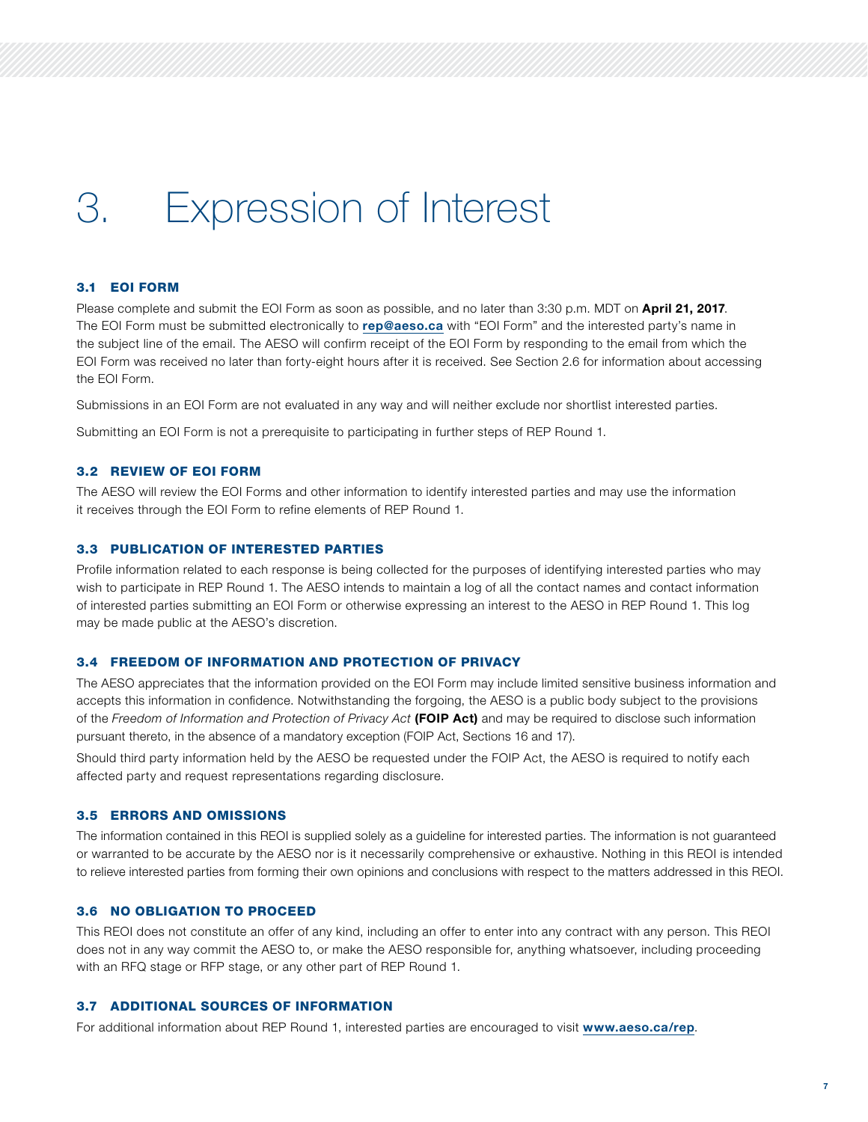# 3. Expression of Interest

#### 3.1 EOI FORM

Please complete and submit the EOI Form as soon as possible, and no later than 3:30 p.m. MDT on April 21, 2017. The EOI Form must be submitted electronically to [rep@aeso.ca](mailto:rep%40aeso.ca?subject=) with "EOI Form" and the interested party's name in the subject line of the email. The AESO will confirm receipt of the EOI Form by responding to the email from which the EOI Form was received no later than forty-eight hours after it is received. See Section 2.6 for information about accessing the EOI Form.

Submissions in an EOI Form are not evaluated in any way and will neither exclude nor shortlist interested parties.

Submitting an EOI Form is not a prerequisite to participating in further steps of REP Round 1.

#### 3.2 REVIEW OF EOI FORM

The AESO will review the EOI Forms and other information to identify interested parties and may use the information it receives through the EOI Form to refine elements of REP Round 1.

#### 3.3 PUBLICATION OF INTERESTED PARTIES

Profile information related to each response is being collected for the purposes of identifying interested parties who may wish to participate in REP Round 1. The AESO intends to maintain a log of all the contact names and contact information of interested parties submitting an EOI Form or otherwise expressing an interest to the AESO in REP Round 1. This log may be made public at the AESO's discretion.

### 3.4 FREEDOM OF INFORMATION AND PROTECTION OF PRIVACY

The AESO appreciates that the information provided on the EOI Form may include limited sensitive business information and accepts this information in confidence. Notwithstanding the forgoing, the AESO is a public body subject to the provisions of the *Freedom of Information and Protection of Privacy Act* (FOIP Act) and may be required to disclose such information pursuant thereto, in the absence of a mandatory exception (FOIP Act, Sections 16 and 17).

Should third party information held by the AESO be requested under the FOIP Act, the AESO is required to notify each affected party and request representations regarding disclosure.

#### 3.5 ERRORS AND OMISSIONS

The information contained in this REOI is supplied solely as a guideline for interested parties. The information is not guaranteed or warranted to be accurate by the AESO nor is it necessarily comprehensive or exhaustive. Nothing in this REOI is intended to relieve interested parties from forming their own opinions and conclusions with respect to the matters addressed in this REOI.

### 3.6 NO OBLIGATION TO PROCEED

This REOI does not constitute an offer of any kind, including an offer to enter into any contract with any person. This REOI does not in any way commit the AESO to, or make the AESO responsible for, anything whatsoever, including proceeding with an RFQ stage or RFP stage, or any other part of REP Round 1.

# 3.7 ADDITIONAL SOURCES OF INFORMATION

For additional information about REP Round 1, interested parties are encouraged to visit [www.aeso.ca/rep](http://www.aeso.ca/rep).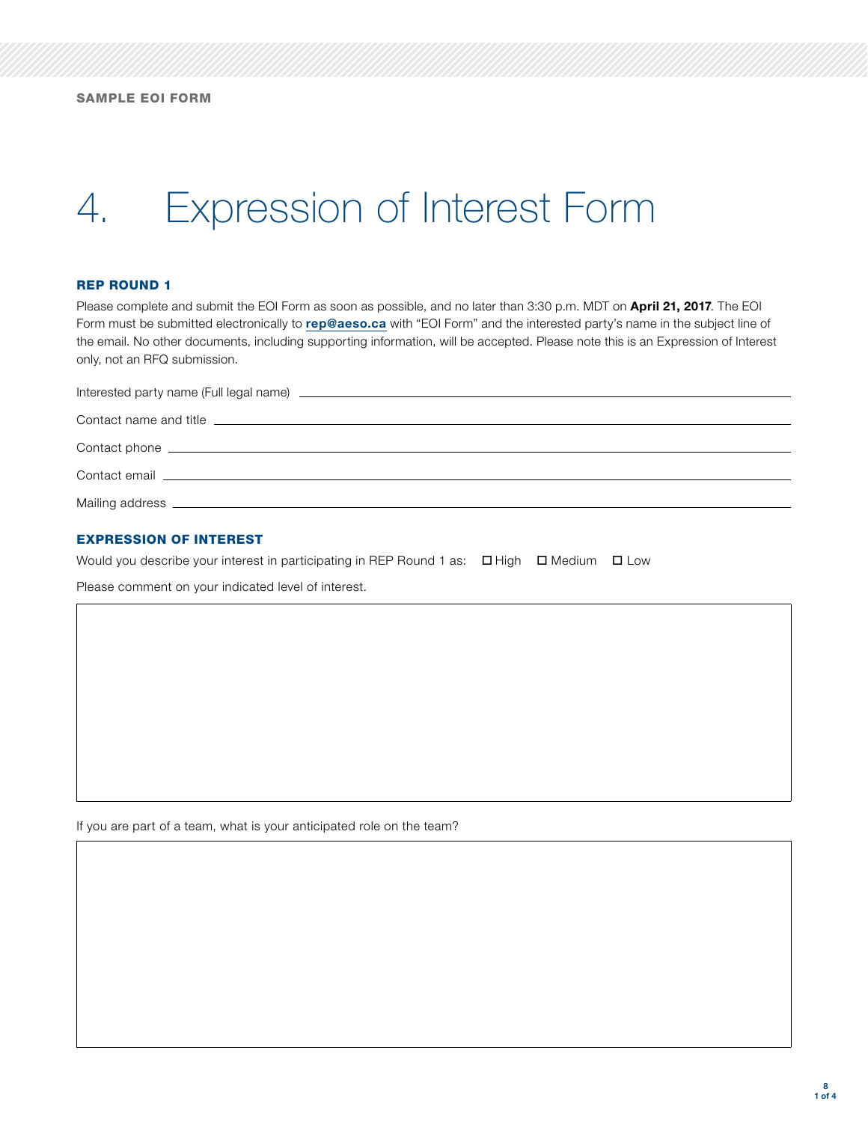# 4. Expression of Interest Form

#### REP ROUND 1

Please complete and submit the EOI Form as soon as possible, and no later than 3:30 p.m. MDT on April 21, 2017. The EOI Form must be submitted electronically to [rep@aeso.ca](mailto:rep%40aeso.ca?subject=) with "EOI Form" and the interested party's name in the subject line of the email. No other documents, including supporting information, will be accepted. Please note this is an Expression of Interest only, not an RFQ submission.

| Interested party name (Full legal name) <b>contract the contract of the contract of the contract of the contract of the contract of the contract of the contract of the contract of the contract of the contract of the contract</b> |  |  |
|--------------------------------------------------------------------------------------------------------------------------------------------------------------------------------------------------------------------------------------|--|--|
|                                                                                                                                                                                                                                      |  |  |
|                                                                                                                                                                                                                                      |  |  |
|                                                                                                                                                                                                                                      |  |  |
| Contact email entrance and the contract of the contract of the contract of the contract of the contract of the                                                                                                                       |  |  |
| Mailing address ________________                                                                                                                                                                                                     |  |  |

#### EXPRESSION OF INTEREST

Would you describe your interest in participating in REP Round 1 as:  $\Box$  High  $\Box$  Medium  $\Box$  Low

Please comment on your indicated level of interest.

If you are part of a team, what is your anticipated role on the team?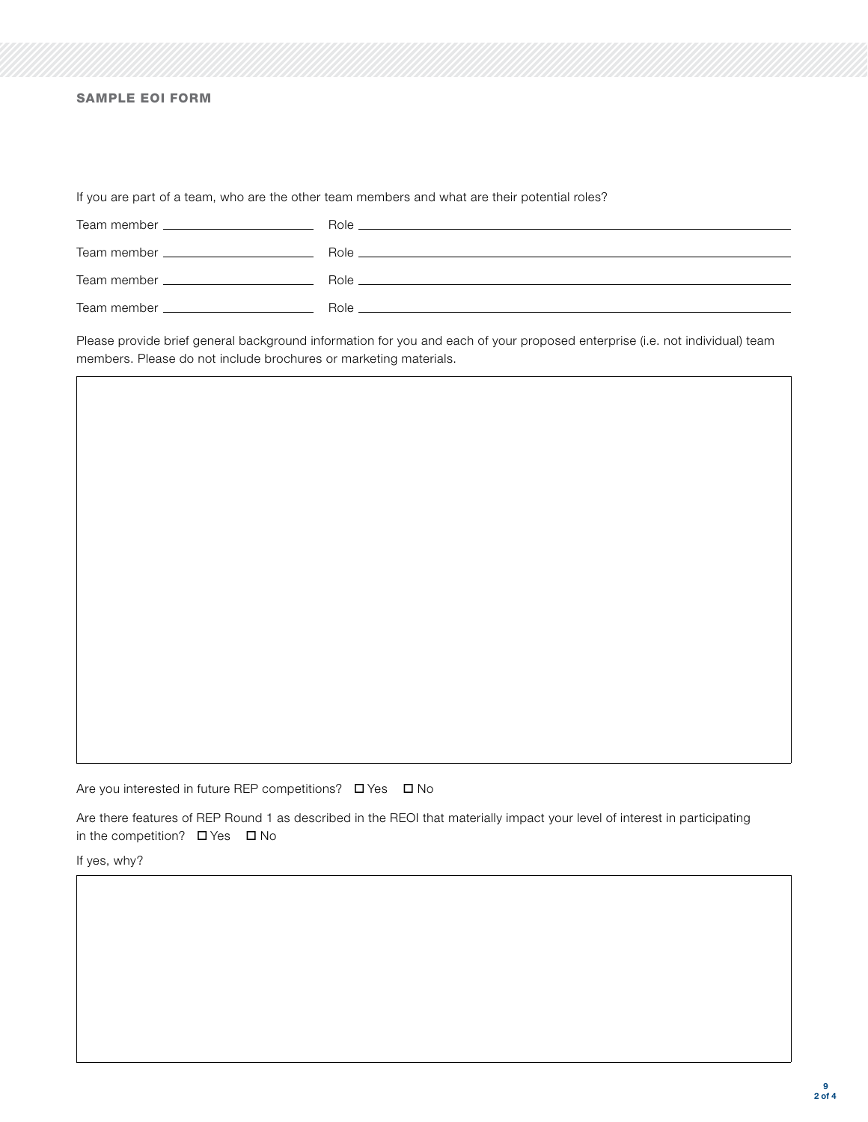# SAMPLE EOI FORM

If you are part of a team, who are the other team members and what are their potential roles?

| Team member ______________________                                                                                                                                                                                                   | $\mathsf{Role}$ $\Box$                                                  |
|--------------------------------------------------------------------------------------------------------------------------------------------------------------------------------------------------------------------------------------|-------------------------------------------------------------------------|
| Team member _____________________                                                                                                                                                                                                    | Role <b>Role Role Role Role Role Role Role Role Role</b>                |
| Team member <b>The Common Common Common Common Common Common Common Common Common Common Common Common Common Common Common Common Common Common Common Common Common Common Common Common Common Common Common Common Common Co</b> | Role <b>Role Role Role Role Role Role Role Role Role Role Role Role</b> |
| Team member <b>than</b> the manufacturer of the manufacturer of the manufacturer of the manufacturer of the manufacturer                                                                                                             | Role                                                                    |

Please provide brief general background information for you and each of your proposed enterprise (i.e. not individual) team members. Please do not include brochures or marketing materials.

Are you interested in future REP competitions?  $\Box$  Yes  $\Box$  No

Are there features of REP Round 1 as described in the REOI that materially impact your level of interest in participating in the competition?  $\Box$  Yes  $\Box$  No

If yes, why?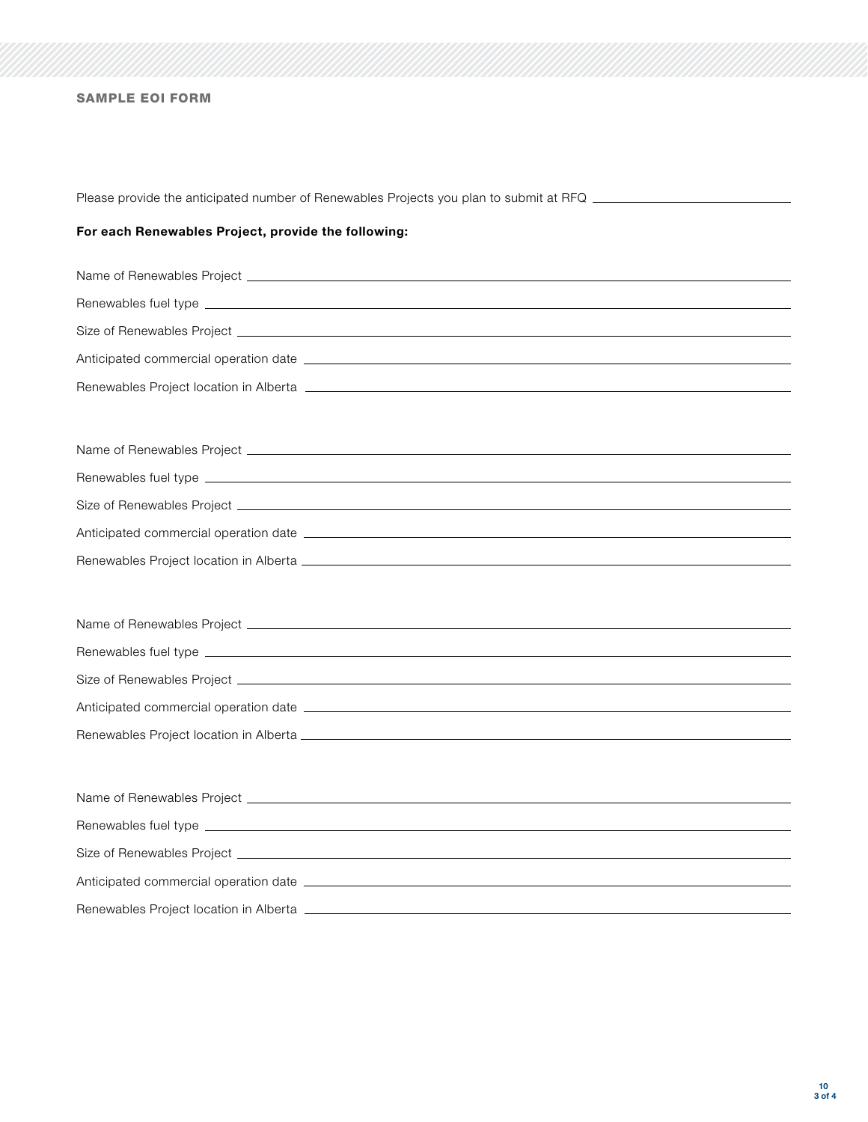# SAMPLE EOI FORM

Please provide the anticipated number of Renewables Projects you plan to submit at RFQ \_\_\_\_\_\_\_\_\_\_\_\_\_\_\_\_\_\_\_\_\_\_\_

# For each Renewables Project, provide the following:

| Renewables Project location in Alberta [1986] [2012] [2013] [2013] [2013] [2014] [2014] [2014] [2014] [2014] [ |  |  |  |
|----------------------------------------------------------------------------------------------------------------|--|--|--|
|                                                                                                                |  |  |  |
|                                                                                                                |  |  |  |
|                                                                                                                |  |  |  |
|                                                                                                                |  |  |  |
|                                                                                                                |  |  |  |
|                                                                                                                |  |  |  |